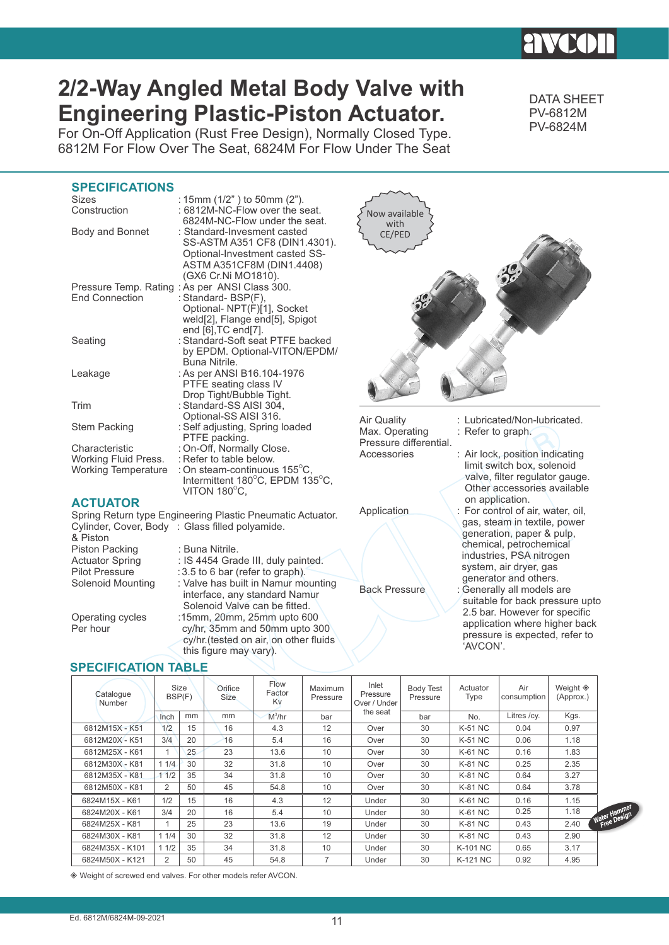# **2/2-Way Angled Metal Body Valve with Engineering Plastic-Piston Actuator.**

For On-Off Application (Rust Free Design), Normally Closed Type. 6812M For Flow Over The Seat, 6824M For Flow Under The Seat DATA SHEET PV-6812M PV-6824M

pressure is expected, refer to

'AVCON'.

## **SPECIFICATIONS**

| <b>SPECIFICATIONS</b>                                                |                                                                                                                                                                     |                                                         |                                                                                                                                                   |
|----------------------------------------------------------------------|---------------------------------------------------------------------------------------------------------------------------------------------------------------------|---------------------------------------------------------|---------------------------------------------------------------------------------------------------------------------------------------------------|
| <b>Sizes</b><br>Construction                                         | : 15mm (1/2") to 50mm (2").<br>: 6812M-NC-Flow over the seat.<br>6824M-NC-Flow under the seat.                                                                      | Now available<br>with                                   |                                                                                                                                                   |
| Body and Bonnet                                                      | : Standard-Invesment casted<br>SS-ASTM A351 CF8 (DIN1.4301).<br>Optional-Investment casted SS-<br>ASTM A351CF8M (DIN1.4408)<br>(GX6 Cr.Ni MO1810).                  | CE/PED                                                  |                                                                                                                                                   |
| <b>End Connection</b>                                                | Pressure Temp. Rating: As per ANSI Class 300.<br>: Standard- BSP(F),<br>Optional- NPT(F)[1], Socket<br>weld[2], Flange end[5], Spigot<br>end $[6]$ , TC end $[7]$ . |                                                         |                                                                                                                                                   |
| Seating                                                              | : Standard-Soft seat PTFE backed<br>by EPDM. Optional-VITON/EPDM/<br>Buna Nitrile.                                                                                  |                                                         |                                                                                                                                                   |
| Leakage                                                              | : As per ANSI B16.104-1976<br>PTFE seating class IV<br>Drop Tight/Bubble Tight.                                                                                     |                                                         |                                                                                                                                                   |
| Trim                                                                 | : Standard-SS AISI 304,                                                                                                                                             |                                                         |                                                                                                                                                   |
| <b>Stem Packing</b>                                                  | Optional-SS AISI 316.<br>: Self adjusting, Spring loaded<br>PTFE packing.                                                                                           | Air Quality<br>Max. Operating<br>Pressure differential. | : Lubricated/Non-lubricated.<br>: Refer to graph.                                                                                                 |
| Characteristic<br>Working Fluid Press.<br><b>Working Temperature</b> | : On-Off, Normally Close.<br>: Refer to table below.<br>: On steam-continuous $155^{\circ}$ C,<br>Intermittent 180°C, EPDM 135°C,<br>VITON 180°C,                   | Accessories                                             | : Air lock, position indicating<br>limit switch box, solenoid<br>valve, filter regulator gauge.<br>Other accessories available<br>on application. |
| <b>ACTUATOR</b>                                                      | Spring Return type Engineering Plastic Pneumatic Actuator.                                                                                                          | Application                                             | : For control of air, water, oil,                                                                                                                 |
| & Piston                                                             | Cylinder, Cover, Body: Glass filled polyamide.                                                                                                                      |                                                         | gas, steam in textile, power<br>generation, paper & pulp,                                                                                         |
| Piston Packing<br><b>Actuator Spring</b><br><b>Pilot Pressure</b>    | : Buna Nitrile.<br>: IS 4454 Grade III, duly painted.<br>: 3.5 to 6 bar (refer to graph).                                                                           |                                                         | chemical, petrochemical<br>industries, PSA nitrogen<br>system, air dryer, gas                                                                     |
| <b>Solenoid Mounting</b>                                             | : Valve has built in Namur mounting<br>interface, any standard Namur<br>Solenoid Valve can be fitted.                                                               | <b>Back Pressure</b>                                    | generator and others.<br>: Generally all models are<br>suitable for back pressure upto                                                            |
| Operating cycles<br>n - - 1- - - - -                                 | :15mm, 20mm, 25mm upto 600                                                                                                                                          |                                                         | 2.5 bar. However for specific<br>application where higher back                                                                                    |

|                  | Solenoid Valve can be fitted.          |
|------------------|----------------------------------------|
| Operating cycles | :15mm, 20mm, 25mm upto 600             |
| Per hour         | cy/hr, 35mm and 50mm upto 300          |
|                  | cy/hr. (tested on air, on other fluids |
|                  | this figure may vary).                 |

## **SPECIFICATION TABLE**

| Catalogue<br>Number |                | <b>Size</b><br>BSP(F) | Orifice<br><b>Size</b> | <b>Flow</b><br>Factor<br>Kv | <b>Maximum</b><br>Pressure | Inlet<br>Pressure<br>Over / Under | <b>Body Test</b><br>Pressure | Actuator<br>Type | Air<br>consumption | Weight ◈<br>(Approx.) |            |
|---------------------|----------------|-----------------------|------------------------|-----------------------------|----------------------------|-----------------------------------|------------------------------|------------------|--------------------|-----------------------|------------|
|                     | Inch           | mm                    | mm                     | $M^3/hr$                    | bar                        | the seat                          | bar                          | No.              | Litres /cy.        | Kgs.                  |            |
| 6812M15X - K51      | 1/2            | 15                    | 16                     | 4.3                         | 12                         | Over                              | 30                           | K-51 NC          | 0.04               | 0.97                  |            |
| 6812M20X - K51      | 3/4            | 20                    | 16                     | 5.4                         | 16                         | Over                              | 30                           | <b>K-51 NC</b>   | 0.06               | 1.18                  |            |
| 6812M25X - K61      |                | 25                    | 23                     | 13.6                        | 10                         | Over                              | 30                           | K-61 NC          | 0.16               | 1.83                  |            |
| 6812M30X - K81      | 11/4           | 30                    | 32                     | 31.8                        | 10                         | Over                              | 30                           | <b>K-81 NC</b>   | 0.25               | 2.35                  |            |
| 6812M35X - K81      | 11/2           | 35                    | 34                     | 31.8                        | 10                         | Over                              | 30                           | K-81 NC          | 0.64               | 3.27                  |            |
| 6812M50X - K81      | $\overline{2}$ | 50                    | 45                     | 54.8                        | 10                         | Over                              | 30                           | <b>K-81 NC</b>   | 0.64               | 3.78                  |            |
| 6824M15X - K61      | 1/2            | 15                    | 16                     | 4.3                         | 12                         | Under                             | 30                           | <b>K-61 NC</b>   | 0.16               | 1.15                  |            |
| 6824M20X - K61      | 3/4            | 20                    | 16                     | 5.4                         | 10                         | Under                             | 30                           | <b>K-61 NC</b>   | 0.25               | 1.18                  | Water Hamm |
| 6824M25X - K81      |                | 25                    | 23                     | 13.6                        | 19                         | Under                             | 30                           | K-81 NC          | 0.43               | 2.40                  |            |
| 6824M30X - K81      | 11/4           | 30                    | 32                     | 31.8                        | 12                         | Under                             | 30                           | K-81 NC          | 0.43               | 2.90                  |            |
| 6824M35X - K101     | 11/2           | 35                    | 34                     | 31.8                        | 10                         | Under                             | 30                           | K-101 NC         | 0.65               | 3.17                  |            |
| 6824M50X - K121     | $\overline{2}$ | 50                    | 45                     | 54.8                        | $\overline{7}$             | Under                             | 30                           | K-121 NC         | 0.92               | 4.95                  |            |

 $\textcircled{*}$  Weight of screwed end valves. For other models refer AVCON.